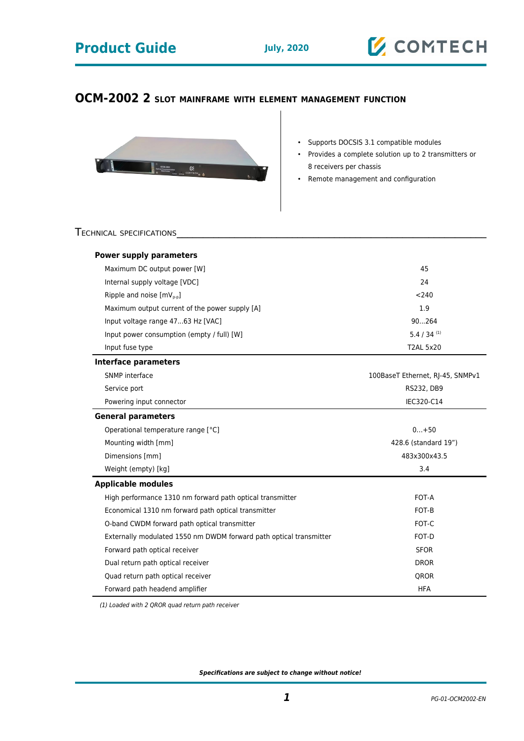## **Product Guide** July, 2020



## **OCM-2002 2 SLOT MAINFRAME WITH ELEMENT MANAGEMENT FUNCTION**



- Supports DOCSIS 3.1 compatible modules
- Provides a complete solution up to 2 transmitters or 8 receivers per chassis
- Remote management and configuration

#### TECHNICAL SPECIFICATIONS

| <b>Power supply parameters</b>                                     |                                  |
|--------------------------------------------------------------------|----------------------------------|
| Maximum DC output power [W]                                        | 45                               |
| Internal supply voltage [VDC]                                      | 24                               |
| Ripple and noise $[mV_{p-p}]$                                      | < 240                            |
| Maximum output current of the power supply [A]                     | 1.9                              |
| Input voltage range 4763 Hz [VAC]                                  | 90264                            |
| Input power consumption (empty / full) [W]                         | $5.4 / 34$ <sup>(1)</sup>        |
| Input fuse type                                                    | <b>T2AL 5x20</b>                 |
| Interface parameters                                               |                                  |
| SNMP interface                                                     | 100BaseT Ethernet, RJ-45, SNMPv1 |
| Service port                                                       | RS232, DB9                       |
| Powering input connector                                           | IEC320-C14                       |
| <b>General parameters</b>                                          |                                  |
| Operational temperature range [°C]                                 | $0+50$                           |
| Mounting width [mm]                                                | 428.6 (standard 19")             |
| Dimensions [mm]                                                    | 483x300x43.5                     |
| Weight (empty) [kg]                                                | 3.4                              |
| <b>Applicable modules</b>                                          |                                  |
| High performance 1310 nm forward path optical transmitter          | FOT-A                            |
| Economical 1310 nm forward path optical transmitter                | FOT-B                            |
| O-band CWDM forward path optical transmitter                       | FOT-C                            |
| Externally modulated 1550 nm DWDM forward path optical transmitter | FOT-D                            |
| Forward path optical receiver                                      | <b>SFOR</b>                      |
| Dual return path optical receiver                                  | <b>DROR</b>                      |
| Quad return path optical receiver                                  | <b>OROR</b>                      |
| Forward path headend amplifier                                     | <b>HFA</b>                       |

(1) Loaded with 2 QROR quad return path receiver

**Specifications are subject to change without notice!**